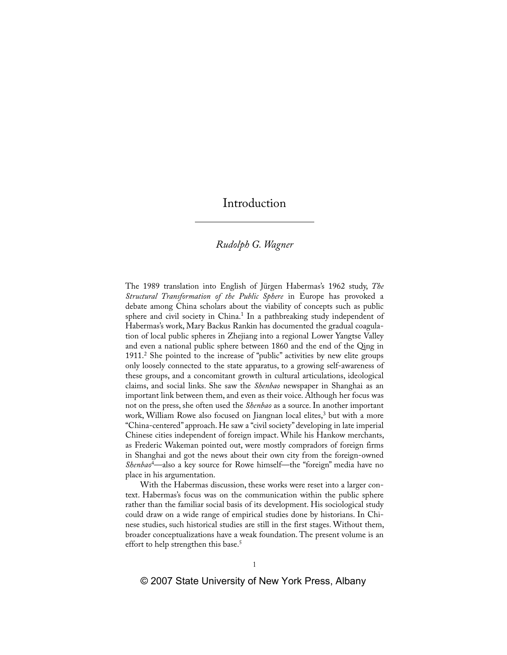# Introduction

## *Rudolph G. Wagner*

The 1989 translation into English of Jürgen Habermas's 1962 study, *The Structural Transformation of the Public Sphere* in Europe has provoked a debate among China scholars about the viability of concepts such as public sphere and civil society in China.<sup>1</sup> In a pathbreaking study independent of Habermas's work, Mary Backus Rankin has documented the gradual coagulation of local public spheres in Zhejiang into a regional Lower Yangtse Valley and even a national public sphere between 1860 and the end of the Qing in 1911.2 She pointed to the increase of "public" activities by new elite groups only loosely connected to the state apparatus, to a growing self-awareness of these groups, and a concomitant growth in cultural articulations, ideological claims, and social links. She saw the *Shenbao* newspaper in Shanghai as an important link between them, and even as their voice. Although her focus was not on the press, she often used the *Shenbao* as a source. In another important work, William Rowe also focused on Jiangnan local elites,<sup>3</sup> but with a more "China-centered" approach. He saw a "civil society" developing in late imperial Chinese cities independent of foreign impact. While his Hankow merchants, as Frederic Wakeman pointed out, were mostly compradors of foreign firms in Shanghai and got the news about their own city from the foreign-owned *Shenbao*<sup>4</sup> —also a key source for Rowe himself—the "foreign" media have no place in his argumentation.

With the Habermas discussion, these works were reset into a larger context. Habermas's focus was on the communication within the public sphere rather than the familiar social basis of its development. His sociological study could draw on a wide range of empirical studies done by historians. In Chinese studies, such historical studies are still in the first stages. Without them, broader conceptualizations have a weak foundation. The present volume is an effort to help strengthen this base.<sup>5</sup>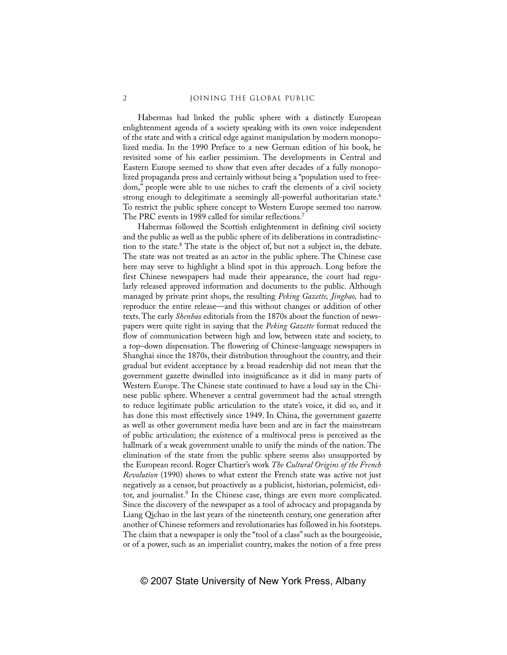Habermas had linked the public sphere with a distinctly European enlightenment agenda of a society speaking with its own voice independent of the state and with a critical edge against manipulation by modern monopolized media. In the 1990 Preface to a new German edition of his book, he revisited some of his earlier pessimism. The developments in Central and Eastern Europe seemed to show that even after decades of a fully monopolized propaganda press and certainly without being a "population used to freedom," people were able to use niches to craft the elements of a civil society strong enough to delegitimate a seemingly all-powerful authoritarian state.<sup>6</sup> To restrict the public sphere concept to Western Europe seemed too narrow. The PRC events in 1989 called for similar reflections.<sup>7</sup>

Habermas followed the Scottish enlightenment in defining civil society and the public as well as the public sphere of its deliberations in contradistinction to the state.<sup>8</sup> The state is the object of, but not a subject in, the debate. The state was not treated as an actor in the public sphere. The Chinese case here may serve to highlight a blind spot in this approach. Long before the first Chinese newspapers had made their appearance, the court had regularly released approved information and documents to the public. Although managed by private print shops, the resulting *Peking Gazette, Jingbao,* had to reproduce the entire release—and this without changes or addition of other texts. The early *Shenbao* editorials from the 1870s about the function of newspapers were quite right in saying that the *Peking Gazette* format reduced the flow of communication between high and low, between state and society, to a top–down dispensation. The flowering of Chinese-language newspapers in Shanghai since the 1870s, their distribution throughout the country, and their gradual but evident acceptance by a broad readership did not mean that the government gazette dwindled into insignificance as it did in many parts of Western Europe. The Chinese state continued to have a loud say in the Chinese public sphere. Whenever a central government had the actual strength to reduce legitimate public articulation to the state's voice, it did so, and it has done this most effectively since 1949. In China, the government gazette as well as other government media have been and are in fact the mainstream of public articulation; the existence of a multivocal press is perceived as the hallmark of a weak government unable to unify the minds of the nation. The elimination of the state from the public sphere seems also unsupported by the European record. Roger Chartier's work *The Cultural Origins of the French Revolution* (1990) shows to what extent the French state was active not just negatively as a censor, but proactively as a publicist, historian, polemicist, editor, and journalist.<sup>9</sup> In the Chinese case, things are even more complicated. Since the discovery of the newspaper as a tool of advocacy and propaganda by Liang Qichao in the last years of the nineteenth century, one generation after another of Chinese reformers and revolutionaries has followed in his footsteps. The claim that a newspaper is only the "tool of a class" such as the bourgeoisie, or of a power, such as an imperialist country, makes the notion of a free press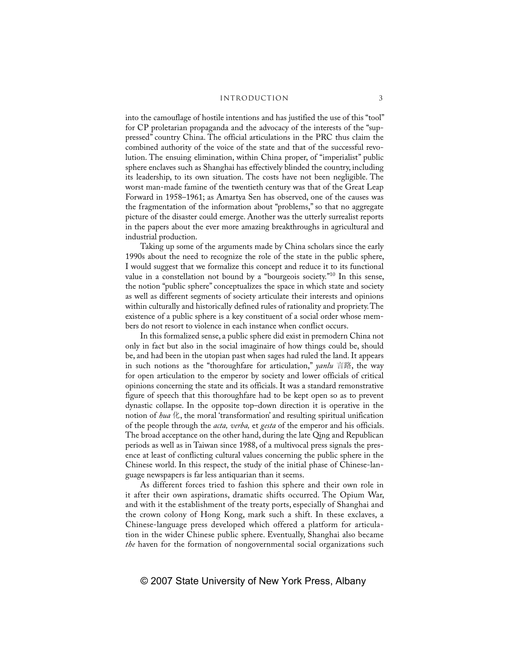into the camouflage of hostile intentions and has justified the use of this "tool" for CP proletarian propaganda and the advocacy of the interests of the "suppressed" country China. The official articulations in the PRC thus claim the combined authority of the voice of the state and that of the successful revolution. The ensuing elimination, within China proper, of "imperialist" public sphere enclaves such as Shanghai has effectively blinded the country, including its leadership, to its own situation. The costs have not been negligible. The worst man-made famine of the twentieth century was that of the Great Leap Forward in 1958–1961; as Amartya Sen has observed, one of the causes was the fragmentation of the information about "problems," so that no aggregate picture of the disaster could emerge. Another was the utterly surrealist reports in the papers about the ever more amazing breakthroughs in agricultural and industrial production.

Taking up some of the arguments made by China scholars since the early 1990s about the need to recognize the role of the state in the public sphere, I would suggest that we formalize this concept and reduce it to its functional value in a constellation not bound by a "bourgeois society."10 In this sense, the notion "public sphere" conceptualizes the space in which state and society as well as different segments of society articulate their interests and opinions within culturally and historically defined rules of rationality and propriety. The existence of a public sphere is a key constituent of a social order whose members do not resort to violence in each instance when conflict occurs.

In this formalized sense, a public sphere did exist in premodern China not only in fact but also in the social imaginaire of how things could be, should be, and had been in the utopian past when sages had ruled the land. It appears in such notions as the "thoroughfare for articulation," *yanlu* 言路, the way for open articulation to the emperor by society and lower officials of critical opinions concerning the state and its officials. It was a standard remonstrative figure of speech that this thoroughfare had to be kept open so as to prevent dynastic collapse. In the opposite top–down direction it is operative in the notion of *hua* 化, the moral 'transformation' and resulting spiritual unification of the people through the *acta, verba,* et *gesta* of the emperor and his officials. The broad acceptance on the other hand, during the late Qing and Republican periods as well as in Taiwan since 1988, of a multivocal press signals the presence at least of conflicting cultural values concerning the public sphere in the Chinese world. In this respect, the study of the initial phase of Chinese-language newspapers is far less antiquarian than it seems.

As different forces tried to fashion this sphere and their own role in it after their own aspirations, dramatic shifts occurred. The Opium War, and with it the establishment of the treaty ports, especially of Shanghai and the crown colony of Hong Kong, mark such a shift. In these exclaves, a Chinese-language press developed which offered a platform for articulation in the wider Chinese public sphere. Eventually, Shanghai also became *the* haven for the formation of nongovernmental social organizations such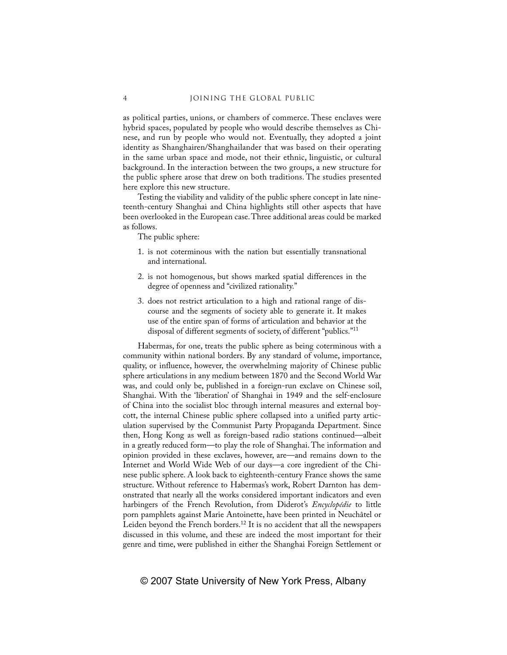as political parties, unions, or chambers of commerce. These enclaves were hybrid spaces, populated by people who would describe themselves as Chinese, and run by people who would not. Eventually, they adopted a joint identity as Shanghairen/Shanghailander that was based on their operating in the same urban space and mode, not their ethnic, linguistic, or cultural background. In the interaction between the two groups, a new structure for the public sphere arose that drew on both traditions. The studies presented here explore this new structure.

Testing the viability and validity of the public sphere concept in late nineteenth-century Shanghai and China highlights still other aspects that have been overlooked in the European case. Three additional areas could be marked as follows.

The public sphere:

- 1. is not coterminous with the nation but essentially transnational and international.
- 2. is not homogenous, but shows marked spatial differences in the degree of openness and "civilized rationality."
- 3. does not restrict articulation to a high and rational range of discourse and the segments of society able to generate it. It makes use of the entire span of forms of articulation and behavior at the disposal of different segments of society, of different "publics."11

Habermas, for one, treats the public sphere as being coterminous with a community within national borders. By any standard of volume, importance, quality, or influence, however, the overwhelming majority of Chinese public sphere articulations in any medium between 1870 and the Second World War was, and could only be, published in a foreign-run exclave on Chinese soil, Shanghai. With the 'liberation' of Shanghai in 1949 and the self-enclosure of China into the socialist bloc through internal measures and external boycott, the internal Chinese public sphere collapsed into a unified party articulation supervised by the Communist Party Propaganda Department. Since then, Hong Kong as well as foreign-based radio stations continued—albeit in a greatly reduced form—to play the role of Shanghai. The information and opinion provided in these exclaves, however, are—and remains down to the Internet and World Wide Web of our days—a core ingredient of the Chinese public sphere. A look back to eighteenth-century France shows the same structure. Without reference to Habermas's work, Robert Darnton has demonstrated that nearly all the works considered important indicators and even harbingers of the French Revolution, from Diderot's *Encyclopédie* to little porn pamphlets against Marie Antoinette, have been printed in Neuchâtel or Leiden beyond the French borders.<sup>12</sup> It is no accident that all the newspapers discussed in this volume, and these are indeed the most important for their genre and time, were published in either the Shanghai Foreign Settlement or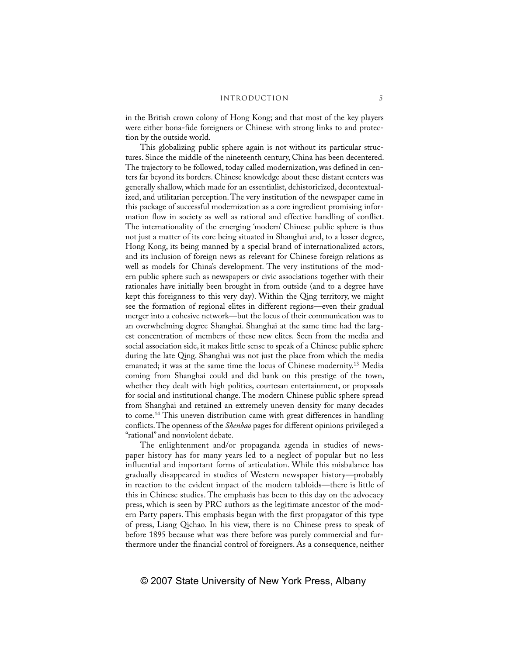in the British crown colony of Hong Kong; and that most of the key players were either bona-fide foreigners or Chinese with strong links to and protection by the outside world.

This globalizing public sphere again is not without its particular structures. Since the middle of the nineteenth century, China has been decentered. The trajectory to be followed, today called modernization, was defined in centers far beyond its borders. Chinese knowledge about these distant centers was generally shallow, which made for an essentialist, dehistoricized, decontextualized, and utilitarian perception. The very institution of the newspaper came in this package of successful modernization as a core ingredient promising information flow in society as well as rational and effective handling of conflict. The internationality of the emerging 'modern' Chinese public sphere is thus not just a matter of its core being situated in Shanghai and, to a lesser degree, Hong Kong, its being manned by a special brand of internationalized actors, and its inclusion of foreign news as relevant for Chinese foreign relations as well as models for China's development. The very institutions of the modern public sphere such as newspapers or civic associations together with their rationales have initially been brought in from outside (and to a degree have kept this foreignness to this very day). Within the Qing territory, we might see the formation of regional elites in different regions—even their gradual merger into a cohesive network—but the locus of their communication was to an overwhelming degree Shanghai. Shanghai at the same time had the largest concentration of members of these new elites. Seen from the media and social association side, it makes little sense to speak of a Chinese public sphere during the late Qing. Shanghai was not just the place from which the media emanated; it was at the same time the locus of Chinese modernity.13 Media coming from Shanghai could and did bank on this prestige of the town, whether they dealt with high politics, courtesan entertainment, or proposals for social and institutional change. The modern Chinese public sphere spread from Shanghai and retained an extremely uneven density for many decades to come.14 This uneven distribution came with great differences in handling conflicts. The openness of the *Shenbao* pages for different opinions privileged a "rational" and nonviolent debate.

The enlightenment and/or propaganda agenda in studies of newspaper history has for many years led to a neglect of popular but no less influential and important forms of articulation. While this misbalance has gradually disappeared in studies of Western newspaper history—probably in reaction to the evident impact of the modern tabloids—there is little of this in Chinese studies. The emphasis has been to this day on the advocacy press, which is seen by PRC authors as the legitimate ancestor of the modern Party papers. This emphasis began with the first propagator of this type of press, Liang Qichao. In his view, there is no Chinese press to speak of before 1895 because what was there before was purely commercial and furthermore under the financial control of foreigners. As a consequence, neither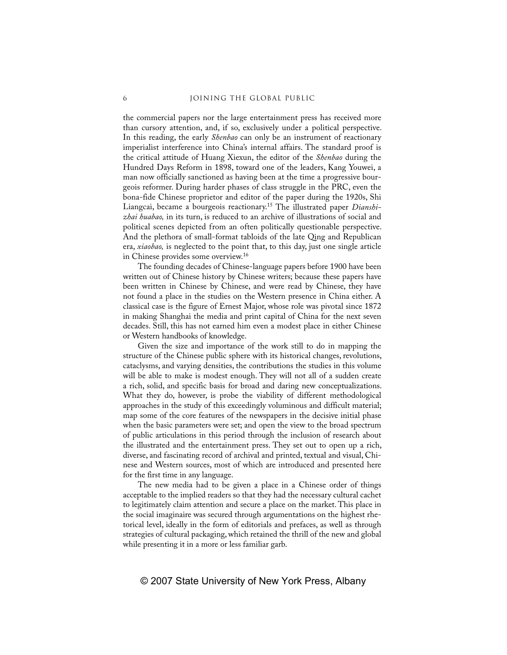the commercial papers nor the large entertainment press has received more than cursory attention, and, if so, exclusively under a political perspective. In this reading, the early *Shenbao* can only be an instrument of reactionary imperialist interference into China's internal affairs. The standard proof is the critical attitude of Huang Xiexun, the editor of the *Shenbao* during the Hundred Days Reform in 1898, toward one of the leaders, Kang Youwei, a man now officially sanctioned as having been at the time a progressive bourgeois reformer. During harder phases of class struggle in the PRC, even the bona-fide Chinese proprietor and editor of the paper during the 1920s, Shi Liangcai, became a bourgeois reactionary.15 The illustrated paper *Dianshizhai huabao,* in its turn, is reduced to an archive of illustrations of social and political scenes depicted from an often politically questionable perspective. And the plethora of small-format tabloids of the late Qing and Republican era, *xiaobao,* is neglected to the point that, to this day, just one single article in Chinese provides some overview.16

The founding decades of Chinese-language papers before 1900 have been written out of Chinese history by Chinese writers; because these papers have been written in Chinese by Chinese, and were read by Chinese, they have not found a place in the studies on the Western presence in China either. A classical case is the figure of Ernest Major, whose role was pivotal since 1872 in making Shanghai the media and print capital of China for the next seven decades. Still, this has not earned him even a modest place in either Chinese or Western handbooks of knowledge.

Given the size and importance of the work still to do in mapping the structure of the Chinese public sphere with its historical changes, revolutions, cataclysms, and varying densities, the contributions the studies in this volume will be able to make is modest enough. They will not all of a sudden create a rich, solid, and specific basis for broad and daring new conceptualizations. What they do, however, is probe the viability of different methodological approaches in the study of this exceedingly voluminous and difficult material; map some of the core features of the newspapers in the decisive initial phase when the basic parameters were set; and open the view to the broad spectrum of public articulations in this period through the inclusion of research about the illustrated and the entertainment press. They set out to open up a rich, diverse, and fascinating record of archival and printed, textual and visual, Chinese and Western sources, most of which are introduced and presented here for the first time in any language.

The new media had to be given a place in a Chinese order of things acceptable to the implied readers so that they had the necessary cultural cachet to legitimately claim attention and secure a place on the market. This place in the social imaginaire was secured through argumentations on the highest rhetorical level, ideally in the form of editorials and prefaces, as well as through strategies of cultural packaging, which retained the thrill of the new and global while presenting it in a more or less familiar garb.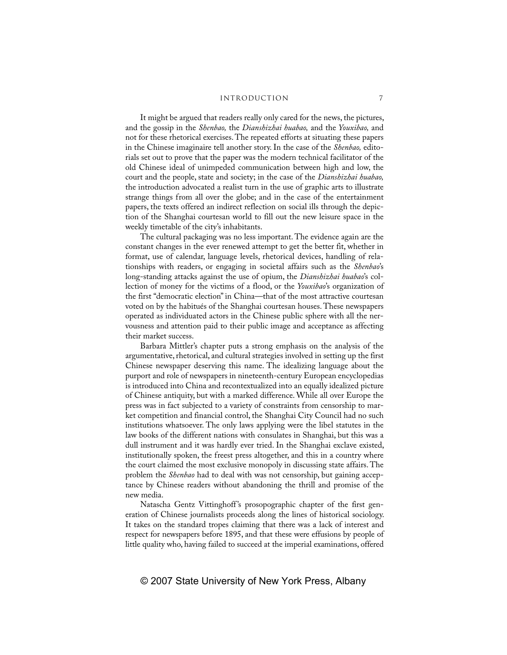#### INTRODUCTION 7

It might be argued that readers really only cared for the news, the pictures, and the gossip in the *Shenbao,* the *Dianshizhai huabao,* and the *Youxibao,* and not for these rhetorical exercises. The repeated efforts at situating these papers in the Chinese imaginaire tell another story. In the case of the *Shenbao,* editorials set out to prove that the paper was the modern technical facilitator of the old Chinese ideal of unimpeded communication between high and low, the court and the people, state and society; in the case of the *Dianshizhai huabao,* the introduction advocated a realist turn in the use of graphic arts to illustrate strange things from all over the globe; and in the case of the entertainment papers, the texts offered an indirect reflection on social ills through the depiction of the Shanghai courtesan world to fill out the new leisure space in the weekly timetable of the city's inhabitants.

The cultural packaging was no less important. The evidence again are the constant changes in the ever renewed attempt to get the better fit, whether in format, use of calendar, language levels, rhetorical devices, handling of relationships with readers, or engaging in societal affairs such as the *Shenbao*'s long-standing attacks against the use of opium, the *Dianshizhai huabao*'s collection of money for the victims of a flood, or the *Youxibao*'s organization of the first "democratic election" in China—that of the most attractive courtesan voted on by the habitués of the Shanghai courtesan houses. These newspapers operated as individuated actors in the Chinese public sphere with all the nervousness and attention paid to their public image and acceptance as affecting their market success.

Barbara Mittler's chapter puts a strong emphasis on the analysis of the argumentative, rhetorical, and cultural strategies involved in setting up the first Chinese newspaper deserving this name. The idealizing language about the purport and role of newspapers in nineteenth-century European encyclopedias is introduced into China and recontextualized into an equally idealized picture of Chinese antiquity, but with a marked difference. While all over Europe the press was in fact subjected to a variety of constraints from censorship to market competition and financial control, the Shanghai City Council had no such institutions whatsoever. The only laws applying were the libel statutes in the law books of the different nations with consulates in Shanghai, but this was a dull instrument and it was hardly ever tried. In the Shanghai exclave existed, institutionally spoken, the freest press altogether, and this in a country where the court claimed the most exclusive monopoly in discussing state affairs. The problem the *Shenbao* had to deal with was not censorship, but gaining acceptance by Chinese readers without abandoning the thrill and promise of the new media.

Natascha Gentz Vittinghoff 's prosopographic chapter of the first generation of Chinese journalists proceeds along the lines of historical sociology. It takes on the standard tropes claiming that there was a lack of interest and respect for newspapers before 1895, and that these were effusions by people of little quality who, having failed to succeed at the imperial examinations, offered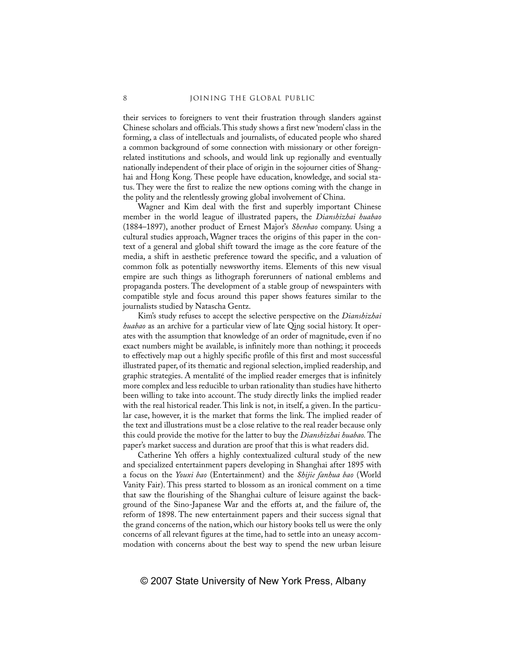their services to foreigners to vent their frustration through slanders against Chinese scholars and officials. This study shows a first new 'modern' class in the forming, a class of intellectuals and journalists, of educated people who shared a common background of some connection with missionary or other foreignrelated institutions and schools, and would link up regionally and eventually nationally independent of their place of origin in the sojourner cities of Shanghai and Hong Kong. These people have education, knowledge, and social status. They were the first to realize the new options coming with the change in the polity and the relentlessly growing global involvement of China.

Wagner and Kim deal with the first and superbly important Chinese member in the world league of illustrated papers, the *Dianshizhai huabao* (1884–1897), another product of Ernest Major's *Shenbao* company. Using a cultural studies approach, Wagner traces the origins of this paper in the context of a general and global shift toward the image as the core feature of the media, a shift in aesthetic preference toward the specific, and a valuation of common folk as potentially newsworthy items. Elements of this new visual empire are such things as lithograph forerunners of national emblems and propaganda posters. The development of a stable group of newspainters with compatible style and focus around this paper shows features similar to the journalists studied by Natascha Gentz.

Kim's study refuses to accept the selective perspective on the *Dianshizhai huabao* as an archive for a particular view of late Qing social history. It operates with the assumption that knowledge of an order of magnitude, even if no exact numbers might be available, is infinitely more than nothing; it proceeds to effectively map out a highly specific profile of this first and most successful illustrated paper, of its thematic and regional selection, implied readership, and graphic strategies. A mentalité of the implied reader emerges that is infinitely more complex and less reducible to urban rationality than studies have hitherto been willing to take into account. The study directly links the implied reader with the real historical reader. This link is not, in itself, a given. In the particular case, however, it is the market that forms the link. The implied reader of the text and illustrations must be a close relative to the real reader because only this could provide the motive for the latter to buy the *Dianshizhai huabao.* The paper's market success and duration are proof that this is what readers did.

Catherine Yeh offers a highly contextualized cultural study of the new and specialized entertainment papers developing in Shanghai after 1895 with a focus on the *Youxi bao* (Entertainment) and the *Shijie fanhua bao* (World Vanity Fair). This press started to blossom as an ironical comment on a time that saw the flourishing of the Shanghai culture of leisure against the background of the Sino-Japanese War and the efforts at, and the failure of, the reform of 1898. The new entertainment papers and their success signal that the grand concerns of the nation, which our history books tell us were the only concerns of all relevant figures at the time, had to settle into an uneasy accommodation with concerns about the best way to spend the new urban leisure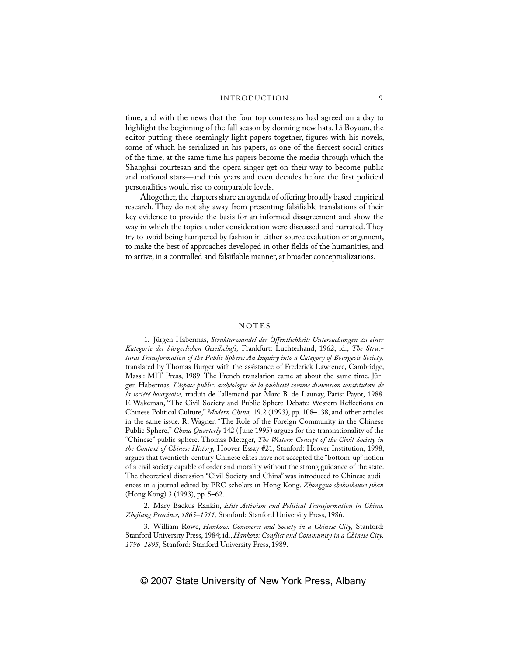#### INTRODUCTION 9

time, and with the news that the four top courtesans had agreed on a day to highlight the beginning of the fall season by donning new hats. Li Boyuan, the editor putting these seemingly light papers together, figures with his novels, some of which he serialized in his papers, as one of the fiercest social critics of the time; at the same time his papers become the media through which the Shanghai courtesan and the opera singer get on their way to become public and national stars—and this years and even decades before the first political personalities would rise to comparable levels.

Altogether, the chapters share an agenda of offering broadly based empirical research. They do not shy away from presenting falsifiable translations of their key evidence to provide the basis for an informed disagreement and show the way in which the topics under consideration were discussed and narrated. They try to avoid being hampered by fashion in either source evaluation or argument, to make the best of approaches developed in other fields of the humanities, and to arrive, in a controlled and falsifiable manner, at broader conceptualizations.

#### NOTES

1. Jürgen Habermas, *Strukturwandel der Öffentlichkeit: Untersuchungen zu einer Kategorie der bürgerlichen Gesellschaft,* Frankfurt: Luchterhand, 1962; id., *The Structural Transformation of the Public Sphere: An Inquiry into a Category of Bourgeois Society,* translated by Thomas Burger with the assistance of Frederick Lawrence, Cambridge, Mass.: MIT Press, 1989. The French translation came at about the same time. Jürgen Habermas*, L'éspace public: archéologie de la publicité comme dimension constitutive de la société bourgeoise,* traduit de l'allemand par Marc B. de Launay, Paris: Payot, 1988. F. Wakeman, "The Civil Society and Public Sphere Debate: Western Reflections on Chinese Political Culture," *Modern China,* 19.2 (1993), pp. 108–138, and other articles in the same issue. R. Wagner, "The Role of the Foreign Community in the Chinese Public Sphere," *China Quarterly* 142 ( June 1995) argues for the transnationality of the "Chinese" public sphere. Thomas Metzger, *The Western Concept of the Civil Society in the Context of Chinese History,* Hoover Essay #21, Stanford: Hoover Institution, 1998, argues that twentieth-century Chinese elites have not accepted the "bottom-up" notion of a civil society capable of order and morality without the strong guidance of the state. The theoretical discussion "Civil Society and China" was introduced to Chinese audiences in a journal edited by PRC scholars in Hong Kong. *Zhongguo shehuikexue jikan* (Hong Kong) 3 (1993), pp. 5–62.

2. Mary Backus Rankin, *Elite Activism and Political Transformation in China. Zhejiang Province, 1865–1911,* Stanford: Stanford University Press, 1986.

3. William Rowe, *Hankow: Commerce and Society in a Chinese City,* Stanford: Stanford University Press, 1984; id., *Hankow: Conflict and Community in a Chinese City, 1796–1895,* Stanford: Stanford University Press, 1989.

### © 2007 State University of New York Press, Albany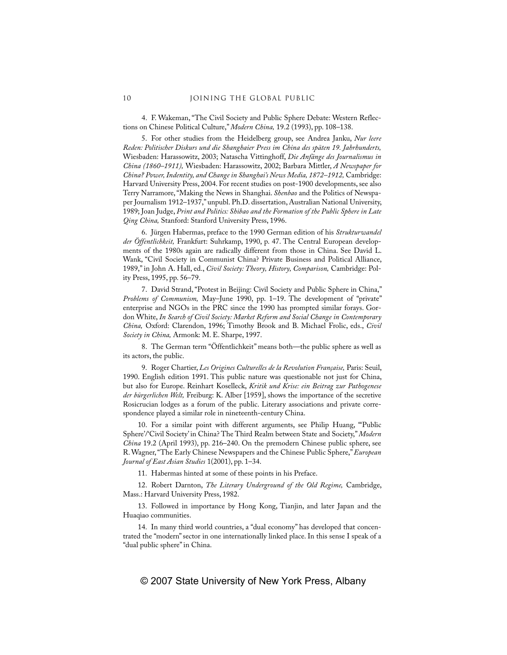4. F. Wakeman, "The Civil Society and Public Sphere Debate: Western Reflections on Chinese Political Culture," *Modern China,* 19.2 (1993), pp. 108–138.

5. For other studies from the Heidelberg group, see Andrea Janku, *Nur leere Reden: Politischer Diskurs und die Shanghaier Press im China des späten 19. Jahrhunderts,* Wiesbaden: Harassowitz, 2003; Natascha Vittinghoff, *Die Anfänge des Journalismus in China (1860–1911),* Wiesbaden: Harassowitz, 2002; Barbara Mittler, *A Newspaper for China? Power, Indentity, and Change in Shanghai's News Media, 1872–1912,* Cambridge: Harvard University Press, 2004. For recent studies on post-1900 developments, see also Terry Narramore, "Making the News in Shanghai. *Shenbao* and the Politics of Newspaper Journalism 1912–1937," unpubl. Ph.D. dissertation, Australian National University, 1989; Joan Judge, *Print and Politics: Shibao and the Formation of the Public Sphere in Late Qing China,* Stanford: Stanford University Press, 1996.

6. Jürgen Habermas, preface to the 1990 German edition of his *Strukturwandel der Öffentlichkeit,* Frankfurt: Suhrkamp, 1990, p. 47. The Central European developments of the 1980s again are radically different from those in China. See David L. Wank, "Civil Society in Communist China? Private Business and Political Alliance, 1989," in John A. Hall, ed., *Civil Society: Theory, History, Comparison,* Cambridge: Polity Press, 1995, pp. 56–79.

7. David Strand, "Protest in Beijing: Civil Society and Public Sphere in China," *Problems of Communism,* May–June 1990, pp. 1–19. The development of "private" enterprise and NGOs in the PRC since the 1990 has prompted similar forays. Gordon White, *In Search of Civil Society: Market Reform and Social Change in Contemporary China,* Oxford: Clarendon, 1996; Timothy Brook and B. Michael Frolic, eds., *Civil Society in China,* Armonk: M. E. Sharpe, 1997.

8. The German term "Öffentlichkeit" means both—the public sphere as well as its actors, the public.

9. Roger Chartier, *Les Origines Culturelles de la Revolution Française,* Paris: Seuil, 1990. English edition 1991. This public nature was questionable not just for China, but also for Europe. Reinhart Koselleck, *Kritik und Krise: ein Beitrag zur Pathogenese der bürgerlichen Welt,* Freiburg: K. Alber [1959], shows the importance of the secretive Rosicrucian lodges as a forum of the public. Literary associations and private correspondence played a similar role in nineteenth-century China.

10. For a similar point with different arguments, see Philip Huang, "'Public Sphere'/'Civil Society' in China? The Third Realm between State and Society," *Modern China* 19.2 (April 1993), pp. 216–240. On the premodern Chinese public sphere, see R. Wagner, "The Early Chinese Newspapers and the Chinese Public Sphere," *European Journal of East Asian Studies* 1(2001), pp. 1–34.

11. Habermas hinted at some of these points in his Preface.

12. Robert Darnton, *The Literary Underground of the Old Regime,* Cambridge, Mass.: Harvard University Press, 1982.

13. Followed in importance by Hong Kong, Tianjin, and later Japan and the Huaqiao communities.

14. In many third world countries, a "dual economy" has developed that concentrated the "modern" sector in one internationally linked place. In this sense I speak of a "dual public sphere" in China.